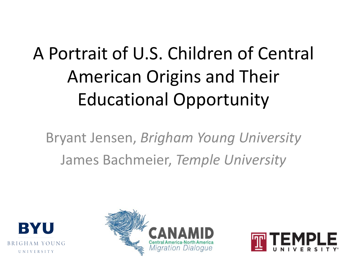## A Portrait of U.S. Children of Central American Origins and Their Educational Opportunity

Bryant Jensen, *Brigham Young University* James Bachmeier, *Temple University* 





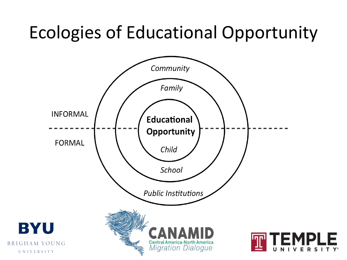#### Ecologies of Educational Opportunity

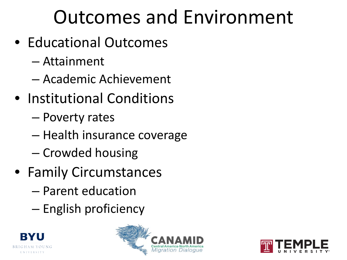## Outcomes and Environment

- Educational Outcomes
	- Attainment
	- Academic Achievement
- Institutional Conditions
	- Poverty rates
	- Health insurance coverage
	- Crowded housing
- Family Circumstances
	- Parent education
	- English proficiency





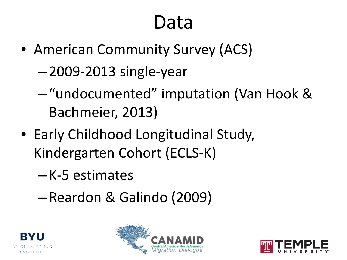#### Data

- American Community Survey (ACS)
	- 2009-2013 single-year
	- "undocumented" imputation (Van Hook & Bachmeier, 2013)
- Early Childhood Longitudinal Study, Kindergarten Cohort (ECLS-K)
	- K-5 estimates
	- Reardon & Galindo (2009)





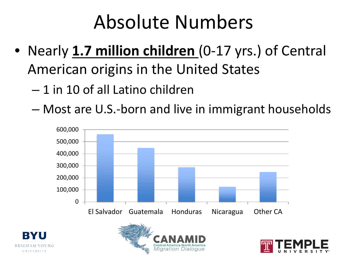#### Absolute Numbers

- Nearly **1.7 million children** (0-17 yrs.) of Central American origins in the United States
	- 1 in 10 of all Latino children
	- Most are U.S.-born and live in immigrant households

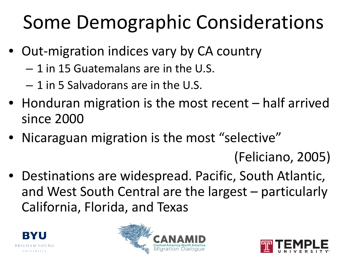# Some Demographic Considerations

- Out-migration indices vary by CA country
	- 1 in 15 Guatemalans are in the U.S.
	- 1 in 5 Salvadorans are in the U.S.
- Honduran migration is the most recent half arrived since 2000
- Nicaraguan migration is the most "selective"

(Feliciano, 2005)

• Destinations are widespread. Pacific, South Atlantic, and West South Central are the largest – particularly California, Florida, and Texas





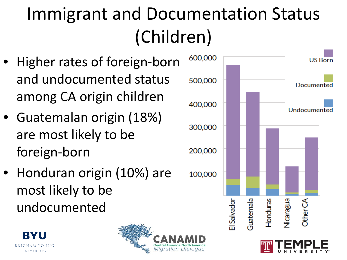# Immigrant and Documentation Status (Children)

- Higher rates of foreign-born and undocumented status among CA origin children
- Guatemalan origin (18%) are most likely to be foreign-born
- Honduran origin (10%) are most likely to be undocumented





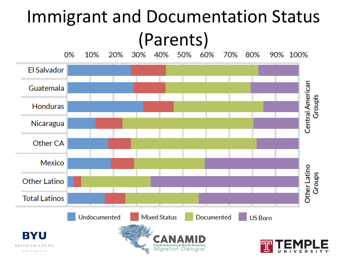#### Immigrant and Documentation Status (Parents)

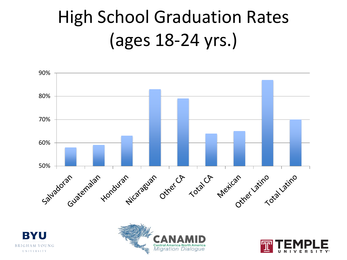### High School Graduation Rates (ages 18-24 yrs.)







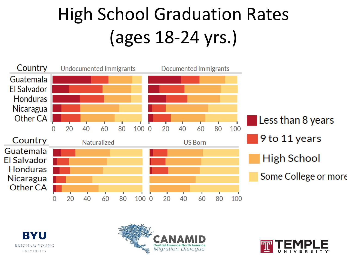# High School Graduation Rates (ages 18-24 yrs.)







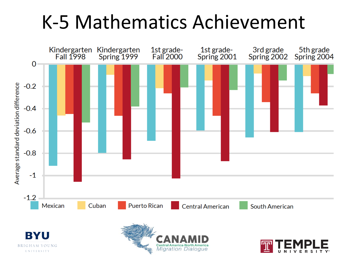#### K-5 Mathematics Achievement



**UNIVERSITY** 

Central America North America<br>Migration Dialogue

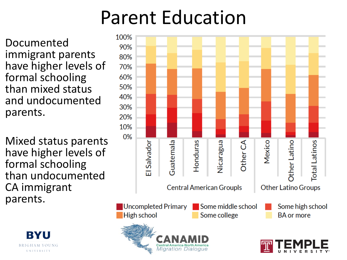### Parent Education

**Migration Dialogue** 

Documented immigrant parents have higher levels of formal schooling than mixed status and undocumented parents.

Mixed status parents have higher levels of formal schooling than undocumented CA immigrant parents.



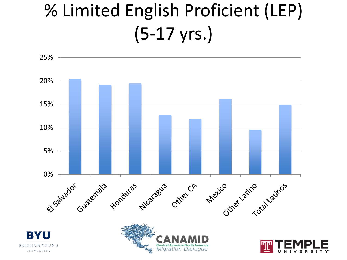### % Limited English Proficient (LEP) (5-17 yrs.)

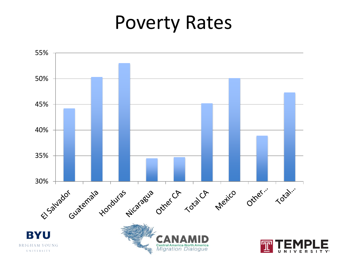#### Poverty Rates

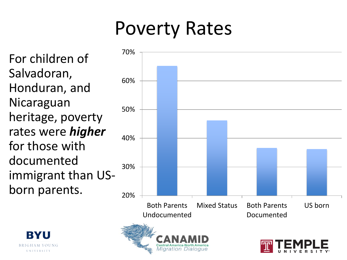### Poverty Rates

For children of Salvadoran, Honduran, and Nicaraguan heritage, poverty rates were *higher* for those with documented immigrant than USborn parents.  $_{20\%}$ 



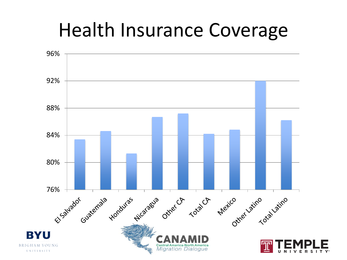#### Health Insurance Coverage

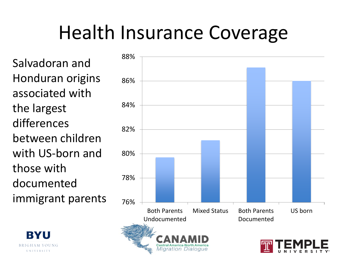### Health Insurance Coverage

Salvadoran and Honduran origins associated with the largest differences between children with US-born and those with documented immigrant parents  $_{76\%}$ 

RY

UNIVERSITY

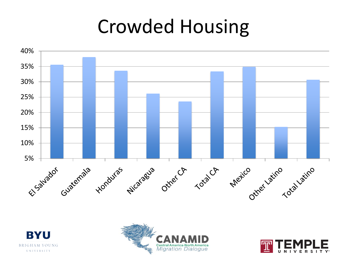#### Crowded Housing







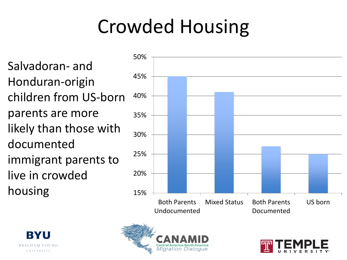# Crowded Housing

Salvadoran- and Honduran-origin children from US-born parents are more likely than those with documented immigrant parents to live in crowded housing 15%







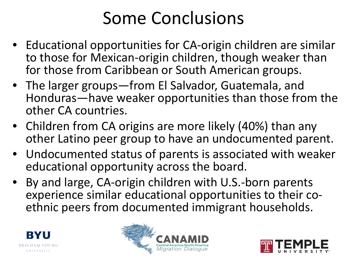#### Some Conclusions

- Educational opportunities for CA-origin children are similar to those for Mexican-origin children, though weaker than for those from Caribbean or South American groups.
- The larger groups—from El Salvador, Guatemala, and Honduras—have weaker opportunities than those from the other CA countries.
- Children from CA origins are more likely (40%) than any other Latino peer group to have an undocumented parent.
- Undocumented status of parents is associated with weaker educational opportunity across the board.
- By and large, CA-origin children with U.S.-born parents experience similar educational opportunities to their co- ethnic peers from documented immigrant households.